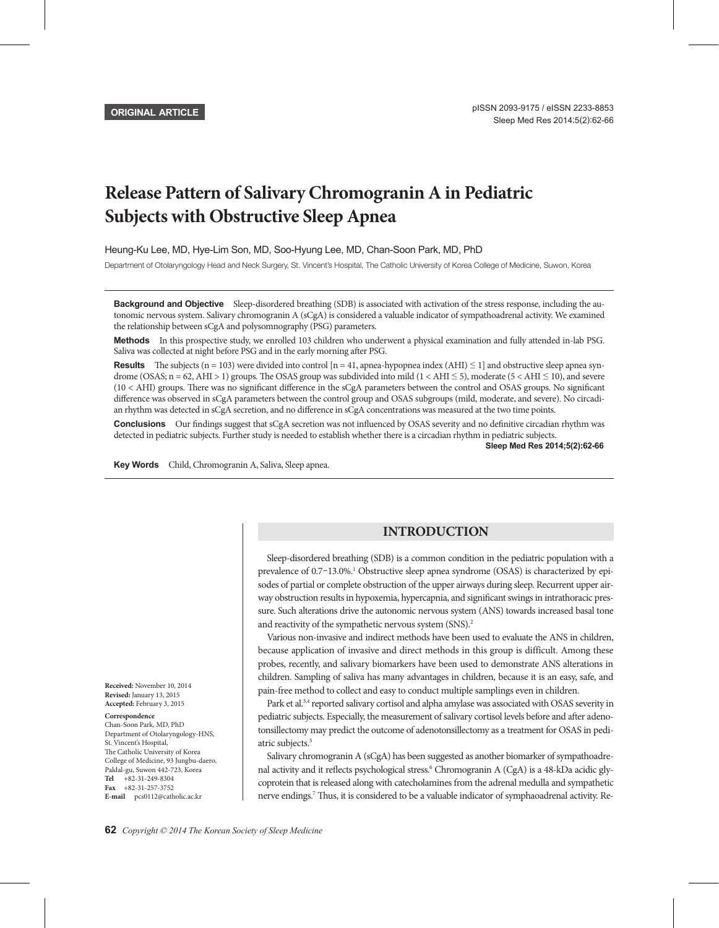# **Release Pattern of Salivary Chromogranin A in Pediatric Subjects with Obstructive Sleep Apnea**

Heung-Ku Lee, MD, Hye-Lim Son, MD, Soo-Hyung Lee, MD, Chan-Soon Park, MD, PhD

Department of Otolaryngology Head and Neck Surgery, St. Vincent's Hospital, The Catholic University of Korea College of Medicine, Suwon, Korea

**Background and Objective** Sleep-disordered breathing (SDB) is associated with activation of the stress response, including the autonomic nervous system. Salivary chromogranin A (sCgA) is considered a valuable indicator of sympathoadrenal activity. We examined the relationship between sCgA and polysomnography (PSG) parameters.

Methods In this prospective study, we enrolled 103 children who underwent a physical examination and fully attended in-lab PSG. Saliva was collected at night before PSG and in the early morning after PSG.

**Results** The subjects (n = 103) were divided into control [n = 41, apnea-hypopnea index (AHI)  $\leq$  1] and obstructive sleep apnea syndrome (OSAS;  $n = 62$ , AHI > 1) groups. The OSAS group was subdivided into mild (1 < AHI  $\leq$  5), moderate (5 < AHI  $\leq$  10), and severe (10 < AHI) groups. There was no significant difference in the sCgA parameters between the control and OSAS groups. No significant difference was observed in sCgA parameters between the control group and OSAS subgroups (mild, moderate, and severe). No circadian rhythm was detected in sCgA secretion, and no difference in sCgA concentrations was measured at the two time points.

**Conclusions** Our findings suggest that sCgA secretion was not influenced by OSAS severity and no definitive circadian rhythm was detected in pediatric subjects. Further study is needed to establish whether there is a circadian rhythm in pediatric subjects.

**Sleep Med Res 2014;5(2):62-66**

Key Words Child, Chromogranin A, Saliva, Sleep apnea.

# **INTRODUCTION**

Sleep-disordered breathing (SDB) is a common condition in the pediatric population with a prevalence of 0.7-13.0%.<sup>1</sup> Obstructive sleep apnea syndrome (OSAS) is characterized by episodes of partial or complete obstruction of the upper airways during sleep. Recurrent upper airway obstruction results in hypoxemia, hypercapnia, and significant swings in intrathoracic pressure. Such alterations drive the autonomic nervous system (ANS) towards increased basal tone and reactivity of the sympathetic nervous system (SNS).<sup>2</sup>

Various non-invasive and indirect methods have been used to evaluate the ANS in children, because application of invasive and direct methods in this group is difficult. Among these probes, recently, and salivary biomarkers have been used to demonstrate ANS alterations in children. Sampling of saliva has many advantages in children, because it is an easy, safe, and pain-free method to collect and easy to conduct multiple samplings even in children.

Park et al.<sup>3,4</sup> reported salivary cortisol and alpha amylase was associated with OSAS severity in pediatric subjects. Especially, the measurement of salivary cortisol levels before and after adenotonsillectomy may predict the outcome of adenotonsillectomy as a treatment for OSAS in pediatric subjects.<sup>5</sup>

Salivary chromogranin A (sCgA) has been suggested as another biomarker of sympathoadrenal activity and it reflects psychological stress.<sup>6</sup> Chromogranin A (CgA) is a 48-kDa acidic glycoprotein that is released along with catecholamines from the adrenal medulla and sympathetic nerve endings.<sup>7</sup> Thus, it is considered to be a valuable indicator of symphaoadrenal activity. Re-

**Received:** November 10, 2014 **Revised:** January 13, 2015 **Accepted:** February 3, 2015

**Correspondence**

Chan-Soon Park, MD, PhD Department of Otolaryngology-HNS, St. Vincent's Hospital, The Catholic University of Korea College of Medicine, 93 Jungbu-daero, Paldal-gu, Suwon 442-723, Korea **Tel** +82-31-249-8304 **Fax** +82-31-257-3752 **E-mail** pcs0112@catholic.ac.kr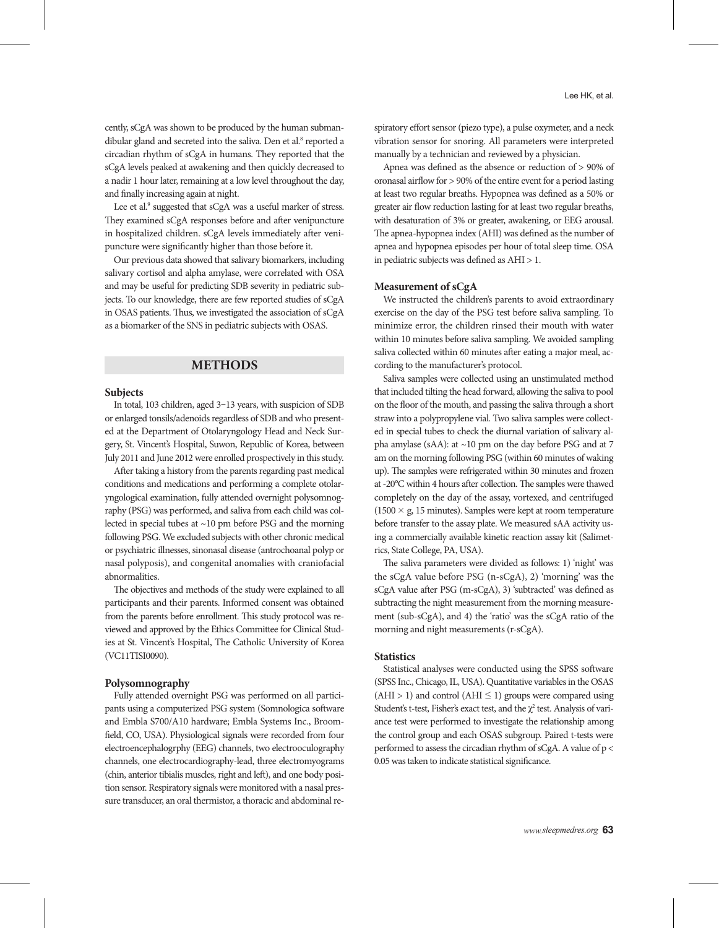cently, sCgA was shown to be produced by the human submandibular gland and secreted into the saliva. Den et al.<sup>8</sup> reported a circadian rhythm of sCgA in humans. They reported that the sCgA levels peaked at awakening and then quickly decreased to a nadir 1 hour later, remaining at a low level throughout the day, and finally increasing again at night.

Lee et al.<sup>9</sup> suggested that sCgA was a useful marker of stress. They examined sCgA responses before and after venipuncture in hospitalized children. sCgA levels immediately after venipuncture were significantly higher than those before it.

Our previous data showed that salivary biomarkers, including salivary cortisol and alpha amylase, were correlated with OSA and may be useful for predicting SDB severity in pediatric subjects. To our knowledge, there are few reported studies of sCgA in OSAS patients. Thus, we investigated the association of sCgA as a biomarker of the SNS in pediatric subjects with OSAS.

## **METHODS**

#### **Subjects**

In total, 103 children, aged 3–13 years, with suspicion of SDB or enlarged tonsils/adenoids regardless of SDB and who presented at the Department of Otolaryngology Head and Neck Surgery, St. Vincent's Hospital, Suwon, Republic of Korea, between July 2011 and June 2012 were enrolled prospectively in this study.

After taking a history from the parents regarding past medical conditions and medications and performing a complete otolaryngological examination, fully attended overnight polysomnography (PSG) was performed, and saliva from each child was collected in special tubes at ~10 pm before PSG and the morning following PSG. We excluded subjects with other chronic medical or psychiatric illnesses, sinonasal disease (antrochoanal polyp or nasal polyposis), and congenital anomalies with craniofacial abnormalities.

The objectives and methods of the study were explained to all participants and their parents. Informed consent was obtained from the parents before enrollment. This study protocol was reviewed and approved by the Ethics Committee for Clinical Studies at St. Vincent's Hospital, The Catholic University of Korea (VC11TISI0090).

#### **Polysomnography**

Fully attended overnight PSG was performed on all participants using a computerized PSG system (Somnologica software and Embla S700/A10 hardware; Embla Systems Inc., Broomfield, CO, USA). Physiological signals were recorded from four electroencephalogrphy (EEG) channels, two electrooculography channels, one electrocardiography-lead, three electromyograms (chin, anterior tibialis muscles, right and left), and one body position sensor. Respiratory signals were monitored with a nasal pressure transducer, an oral thermistor, a thoracic and abdominal respiratory effort sensor (piezo type), a pulse oxymeter, and a neck vibration sensor for snoring. All parameters were interpreted manually by a technician and reviewed by a physician.

Apnea was defined as the absence or reduction of > 90% of oronasal airflow for > 90% of the entire event for a period lasting at least two regular breaths. Hypopnea was defined as a 50% or greater air flow reduction lasting for at least two regular breaths, with desaturation of 3% or greater, awakening, or EEG arousal. The apnea-hypopnea index (AHI) was defined as the number of apnea and hypopnea episodes per hour of total sleep time. OSA in pediatric subjects was defined as AHI > 1.

### **Measurement of sCgA**

We instructed the children's parents to avoid extraordinary exercise on the day of the PSG test before saliva sampling. To minimize error, the children rinsed their mouth with water within 10 minutes before saliva sampling. We avoided sampling saliva collected within 60 minutes after eating a major meal, according to the manufacturer's protocol.

Saliva samples were collected using an unstimulated method that included tilting the head forward, allowing the saliva to pool on the floor of the mouth, and passing the saliva through a short straw into a polypropylene vial. Two saliva samples were collected in special tubes to check the diurnal variation of salivary alpha amylase (sAA): at ~10 pm on the day before PSG and at 7 am on the morning following PSG (within 60 minutes of waking up). The samples were refrigerated within 30 minutes and frozen at -20°C within 4 hours after collection. The samples were thawed completely on the day of the assay, vortexed, and centrifuged  $(1500 \times g, 15 \text{ minutes})$ . Samples were kept at room temperature before transfer to the assay plate. We measured sAA activity using a commercially available kinetic reaction assay kit (Salimetrics, State College, PA, USA).

The saliva parameters were divided as follows: 1) 'night' was the sCgA value before PSG (n-sCgA), 2) 'morning' was the sCgA value after PSG (m-sCgA), 3) 'subtracted' was defined as subtracting the night measurement from the morning measurement (sub-sCgA), and 4) the 'ratio' was the sCgA ratio of the morning and night measurements (r-sCgA).

## **Statistics**

Statistical analyses were conducted using the SPSS software (SPSS Inc., Chicago, IL, USA). Quantitative variables in the OSAS  $(AHI > 1)$  and control  $(AHI \le 1)$  groups were compared using Student's t-test, Fisher's exact test, and the  $\chi^2$  test. Analysis of variance test were performed to investigate the relationship among the control group and each OSAS subgroup. Paired t-tests were performed to assess the circadian rhythm of sCgA. A value of p < 0.05 was taken to indicate statistical significance.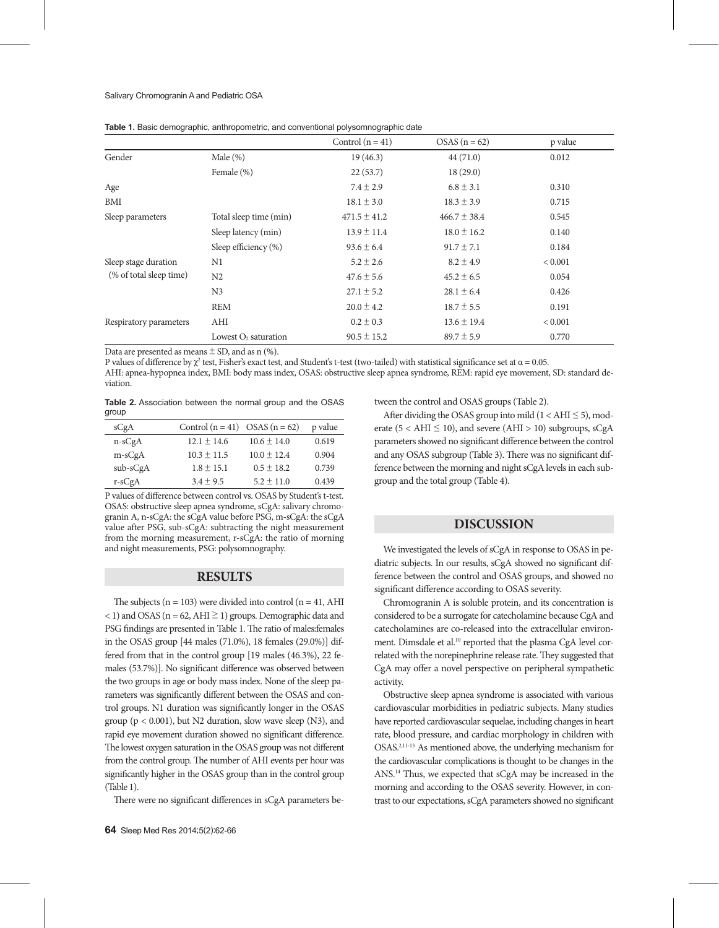|                         |                         | Control $(n = 41)$ | $OSAS(n = 62)$   | p value        |
|-------------------------|-------------------------|--------------------|------------------|----------------|
| Gender                  | Male $(\%)$             | 19(46.3)           | 44(71.0)         | 0.012          |
|                         | Female (%)              | 22(53.7)           | 18(29.0)         |                |
| Age                     |                         | $7.4 \pm 2.9$      | $6.8 \pm 3.1$    | 0.310          |
| <b>BMI</b>              |                         | $18.1 \pm 3.0$     | $18.3 \pm 3.9$   | 0.715          |
| Sleep parameters        | Total sleep time (min)  | $471.5 \pm 41.2$   | $466.7 \pm 38.4$ | 0.545          |
|                         | Sleep latency (min)     | $13.9 \pm 11.4$    | $18.0 \pm 16.2$  | 0.140          |
|                         | Sleep efficiency (%)    | $93.6 \pm 6.4$     | $91.7 \pm 7.1$   | 0.184          |
| Sleep stage duration    | N1                      | $5.2 \pm 2.6$      | $8.2 \pm 4.9$    | < 0.001        |
| (% of total sleep time) | N <sub>2</sub>          | $47.6 \pm 5.6$     | $45.2 \pm 6.5$   | 0.054          |
|                         | N <sub>3</sub>          | $27.1 \pm 5.2$     | $28.1 \pm 6.4$   | 0.426          |
|                         | <b>REM</b>              | $20.0 \pm 4.2$     | $18.7 \pm 5.5$   | 0.191          |
| Respiratory parameters  | AHI                     | $0.2 \pm 0.3$      | $13.6 \pm 19.4$  | ${}_{< 0.001}$ |
|                         | Lowest $O_2$ saturation | $90.5 \pm 15.2$    | $89.7 \pm 5.9$   | 0.770          |

**Table 1.** Basic demographic, anthropometric, and conventional polysomnographic date

Data are presented as means  $\pm$  SD, and as n (%).

P values of difference by  $\chi^2$  test, Fisher's exact test, and Student's t-test (two-tailed) with statistical significance set at  $\alpha$  = 0.05.

AHI: apnea-hypopnea index, BMI: body mass index, OSAS: obstructive sleep apnea syndrome, REM: rapid eye movement, SD: standard deviation.

|       | <b>Table 2.</b> Association between the normal group and the OSAS |  |  |  |  |
|-------|-------------------------------------------------------------------|--|--|--|--|
| group |                                                                   |  |  |  |  |

| sCgA       | Control $(n = 41)$ OSAS $(n = 62)$ |                 | p value |
|------------|------------------------------------|-----------------|---------|
| $n-sCgA$   | $12.1 \pm 14.6$                    | $10.6 \pm 14.0$ | 0.619   |
| $m-sCgA$   | $10.3 \pm 11.5$                    | $10.0 \pm 12.4$ | 0.904   |
| $sub-sCgA$ | $1.8 \pm 15.1$                     | $0.5 \pm 18.2$  | 0.739   |
| $r-sCgA$   | $3.4 + 9.5$                        | $5.2 \pm 11.0$  | 0.439   |

P values of difference between control vs. OSAS by Student's t-test. OSAS: obstructive sleep apnea syndrome, sCgA: salivary chromogranin A, n-sCgA: the sCgA value before PSG, m-sCgA: the sCgA value after PSG, sub-sCgA: subtracting the night measurement from the morning measurement, r-sCgA: the ratio of morning and night measurements, PSG: polysomnography.

# **RESULTS**

The subjects ( $n = 103$ ) were divided into control ( $n = 41$ , AHI < 1) and OSAS ( $n = 62$ , AHI  $\geq 1$ ) groups. Demographic data and PSG findings are presented in Table 1. The ratio of males:females in the OSAS group [44 males (71.0%), 18 females (29.0%)] differed from that in the control group [19 males (46.3%), 22 females (53.7%)]. No significant difference was observed between the two groups in age or body mass index. None of the sleep parameters was significantly different between the OSAS and control groups. N1 duration was significantly longer in the OSAS group ( $p < 0.001$ ), but N2 duration, slow wave sleep (N3), and rapid eye movement duration showed no significant difference. The lowest oxygen saturation in the OSAS group was not different from the control group. The number of AHI events per hour was significantly higher in the OSAS group than in the control group (Table 1).

There were no significant differences in sCgA parameters be-

tween the control and OSAS groups (Table 2).

After dividing the OSAS group into mild  $(1 < AHI \le 5)$ , moderate ( $5 < AHI \leq 10$ ), and severe (AHI > 10) subgroups, sCgA parameters showed no significant difference between the control and any OSAS subgroup (Table 3). There was no significant difference between the morning and night sCgA levels in each subgroup and the total group (Table 4).

# **DISCUSSION**

We investigated the levels of sCgA in response to OSAS in pediatric subjects. In our results, sCgA showed no significant difference between the control and OSAS groups, and showed no significant difference according to OSAS severity.

Chromogranin A is soluble protein, and its concentration is considered to be a surrogate for catecholamine because CgA and catecholamines are co-released into the extracellular environment. Dimsdale et al.<sup>10</sup> reported that the plasma CgA level correlated with the norepinephrine release rate. They suggested that CgA may offer a novel perspective on peripheral sympathetic activity.

Obstructive sleep apnea syndrome is associated with various cardiovascular morbidities in pediatric subjects. Many studies have reported cardiovascular sequelae, including changes in heart rate, blood pressure, and cardiac morphology in children with OSAS.2,11-13 As mentioned above, the underlying mechanism for the cardiovascular complications is thought to be changes in the ANS.14 Thus, we expected that sCgA may be increased in the morning and according to the OSAS severity. However, in contrast to our expectations, sCgA parameters showed no significant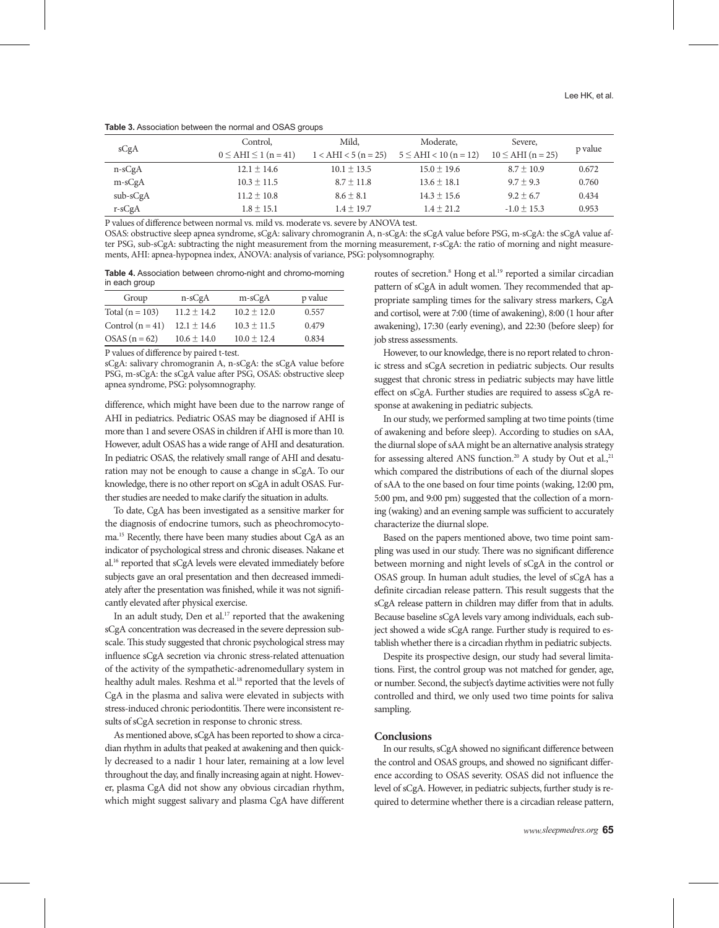|  | Table 3. Association between the normal and OSAS groups |  |  |  |  |
|--|---------------------------------------------------------|--|--|--|--|
|--|---------------------------------------------------------|--|--|--|--|

|            | Control.                     | Mild.                  | Moderate,                  | Severe,                |         |
|------------|------------------------------|------------------------|----------------------------|------------------------|---------|
| sCgA       | $0 \leq AHI \leq 1 (n = 41)$ | $1 < AHI < 5 (n = 25)$ | $5 \leq AHI < 10 (n = 12)$ | $10 \leq AHI (n = 25)$ | p value |
| $n-sCgA$   | $12.1 \pm 14.6$              | $10.1 \pm 13.5$        | $15.0 \pm 19.6$            | $8.7 \pm 10.9$         | 0.672   |
| $m-sCgA$   | $10.3 \pm 11.5$              | $8.7 \pm 11.8$         | $13.6 \pm 18.1$            | $9.7 \pm 9.3$          | 0.760   |
| $sub-sCgA$ | $11.2 \pm 10.8$              | $8.6 \pm 8.1$          | $14.3 \pm 15.6$            | $9.2 \pm 6.7$          | 0.434   |
| $r-sCgA$   | $1.8 \pm 15.1$               | $1.4 \pm 19.7$         | $1.4 \pm 21.2$             | $-1.0 \pm 15.3$        | 0.953   |

P values of difference between normal vs. mild vs. moderate vs. severe by ANOVA test.

OSAS: obstructive sleep apnea syndrome, sCgA: salivary chromogranin A, n-sCgA: the sCgA value before PSG, m-sCgA: the sCgA value after PSG, sub-sCgA: subtracting the night measurement from the morning measurement, r-sCgA: the ratio of morning and night measurements, AHI: apnea-hypopnea index, ANOVA: analysis of variance, PSG: polysomnography.

**Table 4.** Association between chromo-night and chromo-morning in each group

| Group              | n-sCgA          | $m-sCgA$        | p value |
|--------------------|-----------------|-----------------|---------|
| Total $(n = 103)$  | $11.2 \pm 14.2$ | $10.2 \pm 12.0$ | 0.557   |
| Control $(n = 41)$ | $12.1 \pm 14.6$ | $10.3 \pm 11.5$ | 0.479   |
| $OSAS(n = 62)$     | $10.6 \pm 14.0$ | $10.0 \pm 12.4$ | 0.834   |

P values of difference by paired t-test.

sCgA: salivary chromogranin A, n-sCgA: the sCgA value before PSG, m-sCgA: the sCgA value after PSG, OSAS: obstructive sleep apnea syndrome, PSG: polysomnography.

difference, which might have been due to the narrow range of AHI in pediatrics. Pediatric OSAS may be diagnosed if AHI is more than 1 and severe OSAS in children if AHI is more than 10. However, adult OSAS has a wide range of AHI and desaturation. In pediatric OSAS, the relatively small range of AHI and desaturation may not be enough to cause a change in sCgA. To our knowledge, there is no other report on sCgA in adult OSAS. Further studies are needed to make clarify the situation in adults.

To date, CgA has been investigated as a sensitive marker for the diagnosis of endocrine tumors, such as pheochromocytoma.15 Recently, there have been many studies about CgA as an indicator of psychological stress and chronic diseases. Nakane et al.16 reported that sCgA levels were elevated immediately before subjects gave an oral presentation and then decreased immediately after the presentation was finished, while it was not significantly elevated after physical exercise.

In an adult study, Den et al.<sup>17</sup> reported that the awakening sCgA concentration was decreased in the severe depression subscale. This study suggested that chronic psychological stress may influence sCgA secretion via chronic stress-related attenuation of the activity of the sympathetic-adrenomedullary system in healthy adult males. Reshma et al.<sup>18</sup> reported that the levels of CgA in the plasma and saliva were elevated in subjects with stress-induced chronic periodontitis. There were inconsistent results of sCgA secretion in response to chronic stress.

As mentioned above, sCgA has been reported to show a circadian rhythm in adults that peaked at awakening and then quickly decreased to a nadir 1 hour later, remaining at a low level throughout the day, and finally increasing again at night. However, plasma CgA did not show any obvious circadian rhythm, which might suggest salivary and plasma CgA have different

routes of secretion.<sup>8</sup> Hong et al.<sup>19</sup> reported a similar circadian pattern of sCgA in adult women. They recommended that appropriate sampling times for the salivary stress markers, CgA and cortisol, were at 7:00 (time of awakening), 8:00 (1 hour after awakening), 17:30 (early evening), and 22:30 (before sleep) for job stress assessments.

However, to our knowledge, there is no report related to chronic stress and sCgA secretion in pediatric subjects. Our results suggest that chronic stress in pediatric subjects may have little effect on sCgA. Further studies are required to assess sCgA response at awakening in pediatric subjects.

In our study, we performed sampling at two time points (time of awakening and before sleep). According to studies on sAA, the diurnal slope of sAA might be an alternative analysis strategy for assessing altered ANS function.<sup>20</sup> A study by Out et al.,<sup>21</sup> which compared the distributions of each of the diurnal slopes of sAA to the one based on four time points (waking, 12:00 pm, 5:00 pm, and 9:00 pm) suggested that the collection of a morning (waking) and an evening sample was sufficient to accurately characterize the diurnal slope.

Based on the papers mentioned above, two time point sampling was used in our study. There was no significant difference between morning and night levels of sCgA in the control or OSAS group. In human adult studies, the level of sCgA has a definite circadian release pattern. This result suggests that the sCgA release pattern in children may differ from that in adults. Because baseline sCgA levels vary among individuals, each subject showed a wide sCgA range. Further study is required to establish whether there is a circadian rhythm in pediatric subjects.

Despite its prospective design, our study had several limitations. First, the control group was not matched for gender, age, or number. Second, the subject's daytime activities were not fully controlled and third, we only used two time points for saliva sampling.

## **Conclusions**

In our results, sCgA showed no significant difference between the control and OSAS groups, and showed no significant difference according to OSAS severity. OSAS did not influence the level of sCgA. However, in pediatric subjects, further study is required to determine whether there is a circadian release pattern,